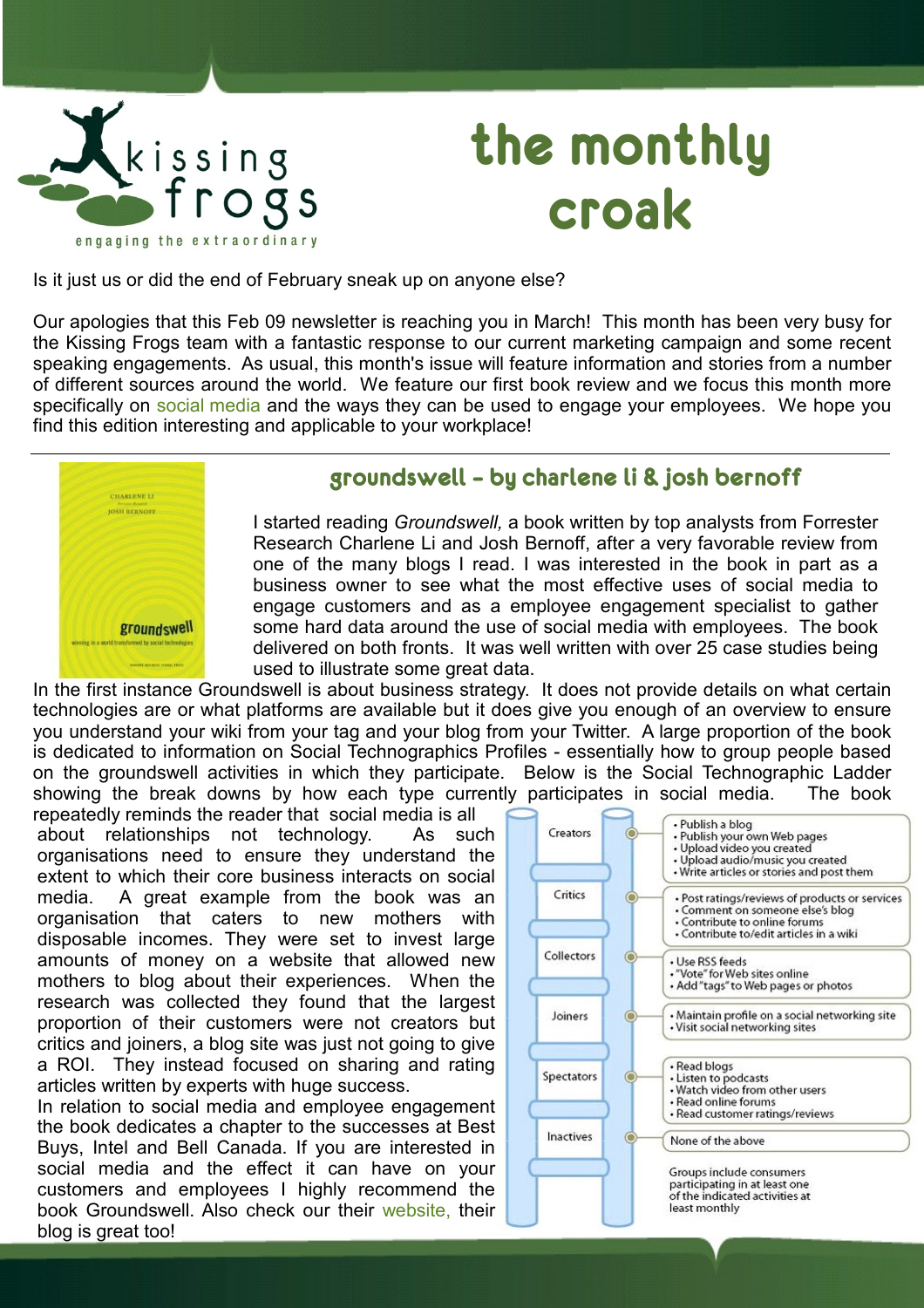

# **the monthly croak**

Is it just us or did the end of February sneak up on anyone else?

Our apologies that this Feb 09 newsletter is reaching you in March! This month has been very busy for the Kissing Frogs team with a fantastic response to our current marketing campaign and some recent speaking engagements. As usual, this month's issue will feature information and stories from a number of different sources around the world. We feature our first book review and we focus this month more specifically on [social media](http://en.wikipedia.org/wiki/Social_media) and the ways they can be used to engage your employees. We hope you find this edition interesting and applicable to your workplace!



## **groundswell – by charlene li & josh bernoff**

I started reading *Groundswell,* a book written by top analysts from Forrester Research Charlene Li and Josh Bernoff, after a very favorable review from one of the many blogs I read. I was interested in the book in part as a business owner to see what the most effective uses of social media to engage customers and as a employee engagement specialist to gather some hard data around the use of social media with employees. The book delivered on both fronts. It was well written with over 25 case studies being used to illustrate some great data.

In the first instance Groundswell is about business strategy. It does not provide details on what certain technologies are or what platforms are available but it does give you enough of an overview to ensure you understand your wiki from your tag and your blog from your Twitter. A large proportion of the book is dedicated to information on Social Technographics Profiles - essentially how to group people based on the groundswell activities in which they participate. Below is the Social Technographic Ladder showing the break downs by how each type currently participates in social media. The book

repeatedly reminds the reader that social media is all about relationships not technology. As such organisations need to ensure they understand the extent to which their core business interacts on social media. A great example from the book was an organisation that caters to new mothers with disposable incomes. They were set to invest large amounts of money on a website that allowed new mothers to blog about their experiences. When the research was collected they found that the largest proportion of their customers were not creators but critics and joiners, a blog site was just not going to give a ROI. They instead focused on sharing and rating articles written by experts with huge success.

In relation to social media and employee engagement the book dedicates a chapter to the successes at Best Buys, Intel and Bell Canada. If you are interested in social media and the effect it can have on your customers and employees I highly recommend the book Groundswell. Also check our their [website,](http://www.forrester.com/Groundswell/index.html) their blog is great too!

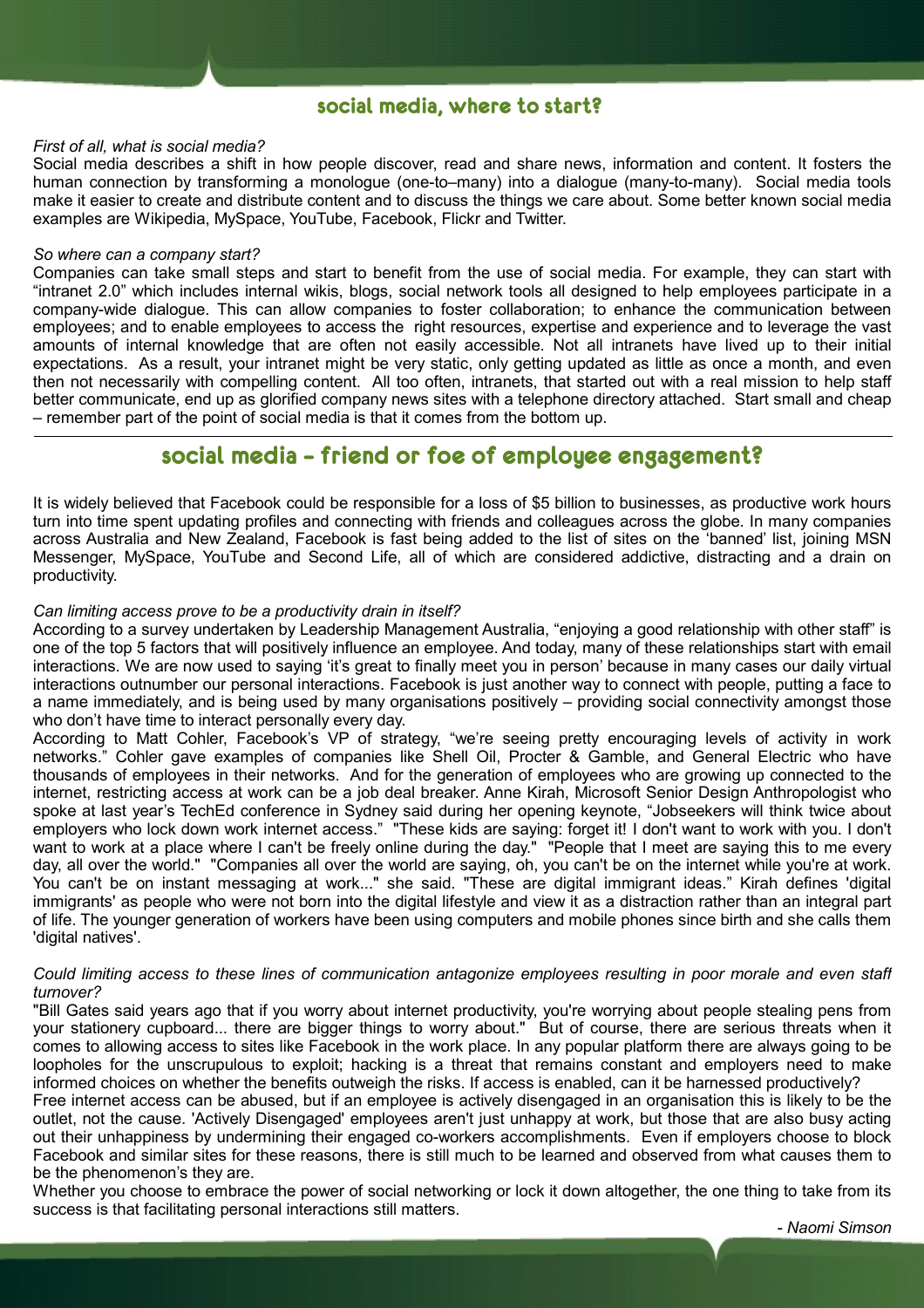## **social media, where to start?**

### *First of all, what is social media?*

Social media describes a shift in how people discover, read and share news, information and content. It fosters the human connection by transforming a monologue (one-to–many) into a dialogue (many-to-many). Social media tools make it easier to create and distribute content and to discuss the things we care about. Some better known social media examples are Wikipedia, MySpace, YouTube, Facebook, Flickr and Twitter.

#### *So where can a company start?*

Companies can take small steps and start to benefit from the use of social media. For example, they can start with "intranet 2.0" which includes internal wikis, blogs, social network tools all designed to help employees participate in a company-wide dialogue. This can allow companies to foster collaboration; to enhance the communication between employees; and to enable employees to access the right resources, expertise and experience and to leverage the vast amounts of internal knowledge that are often not easily accessible. Not all intranets have lived up to their initial expectations. As a result, your intranet might be very static, only getting updated as little as once a month, and even then not necessarily with compelling content. All too often, intranets, that started out with a real mission to help staff better communicate, end up as glorified company news sites with a telephone directory attached. Start small and cheap – remember part of the point of social media is that it comes from the bottom up.

## **social media – friend or foe of employee engagement?**

It is widely believed that Facebook could be responsible for a loss of \$5 billion to businesses, as productive work hours turn into time spent updating profiles and connecting with friends and colleagues across the globe. In many companies across Australia and New Zealand, Facebook is fast being added to the list of sites on the 'banned' list, joining MSN Messenger, MySpace, YouTube and Second Life, all of which are considered addictive, distracting and a drain on productivity.

### *Can limiting access prove to be a productivity drain in itself?*

According to a survey undertaken by Leadership Management Australia, "enjoying a good relationship with other staff" is one of the top 5 factors that will positively influence an employee. And today, many of these relationships start with email interactions. We are now used to saying 'it's great to finally meet you in person' because in many cases our daily virtual interactions outnumber our personal interactions. Facebook is just another way to connect with people, putting a face to a name immediately, and is being used by many organisations positively – providing social connectivity amongst those who don't have time to interact personally every day.

According to Matt Cohler, Facebook's VP of strategy, "we're seeing pretty encouraging levels of activity in work networks." Cohler gave examples of companies like Shell Oil, Procter & Gamble, and General Electric who have thousands of employees in their networks. And for the generation of employees who are growing up connected to the internet, restricting access at work can be a job deal breaker. Anne Kirah, Microsoft Senior Design Anthropologist who spoke at last year's TechEd conference in Sydney said during her opening keynote, "Jobseekers will think twice about employers who lock down work internet access." "These kids are saying: forget it! I don't want to work with you. I don't want to work at a place where I can't be freely online during the day." "People that I meet are saying this to me every day, all over the world." "Companies all over the world are saying, oh, you can't be on the internet while you're at work. You can't be on instant messaging at work..." she said. "These are digital immigrant ideas." Kirah defines 'digital immigrants' as people who were not born into the digital lifestyle and view it as a distraction rather than an integral part of life. The younger generation of workers have been using computers and mobile phones since birth and she calls them 'digital natives'.

### *Could limiting access to these lines of communication antagonize employees resulting in poor morale and even staff turnover?*

"Bill Gates said years ago that if you worry about internet productivity, you're worrying about people stealing pens from your stationery cupboard... there are bigger things to worry about." But of course, there are serious threats when it comes to allowing access to sites like Facebook in the work place. In any popular platform there are always going to be loopholes for the unscrupulous to exploit; hacking is a threat that remains constant and employers need to make informed choices on whether the benefits outweigh the risks. If access is enabled, can it be harnessed productively?

Free internet access can be abused, but if an employee is actively disengaged in an organisation this is likely to be the outlet, not the cause. 'Actively Disengaged' employees aren't just unhappy at work, but those that are also busy acting out their unhappiness by undermining their engaged co-workers accomplishments. Even if employers choose to block Facebook and similar sites for these reasons, there is still much to be learned and observed from what causes them to be the phenomenon's they are.

Whether you choose to embrace the power of social networking or lock it down altogether, the one thing to take from its success is that facilitating personal interactions still matters.